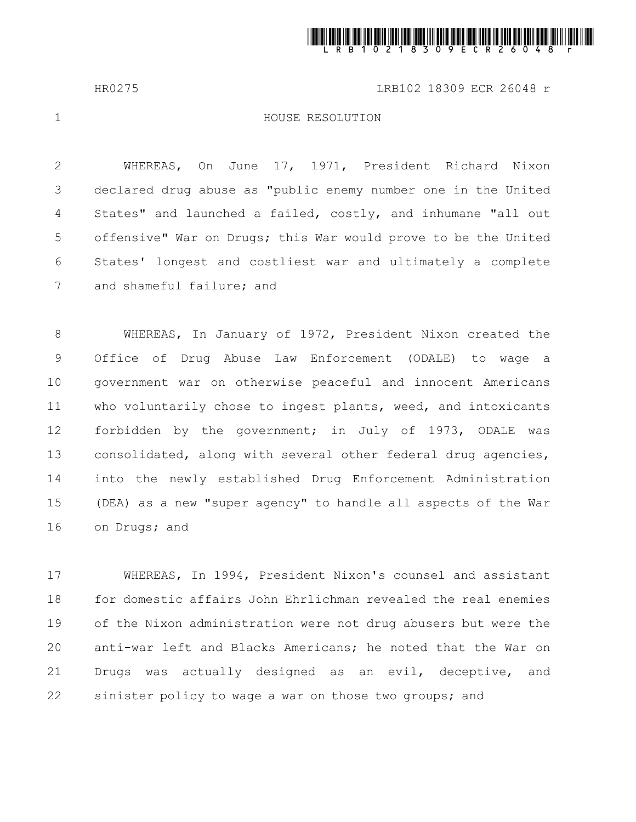

HR0275 LRB102 18309 ECR 26048 r

1

## HOUSE RESOLUTION

WHEREAS, On June 17, 1971, President Richard Nixon declared drug abuse as "public enemy number one in the United States" and launched a failed, costly, and inhumane "all out offensive" War on Drugs; this War would prove to be the United States' longest and costliest war and ultimately a complete and shameful failure; and 2 3 4 5 6 7

WHEREAS, In January of 1972, President Nixon created the Office of Drug Abuse Law Enforcement (ODALE) to wage a government war on otherwise peaceful and innocent Americans who voluntarily chose to ingest plants, weed, and intoxicants forbidden by the government; in July of 1973, ODALE was consolidated, along with several other federal drug agencies, into the newly established Drug Enforcement Administration (DEA) as a new "super agency" to handle all aspects of the War on Drugs; and 8 9 10 11 12 13 14 15 16

WHEREAS, In 1994, President Nixon's counsel and assistant for domestic affairs John Ehrlichman revealed the real enemies of the Nixon administration were not drug abusers but were the anti-war left and Blacks Americans; he noted that the War on Drugs was actually designed as an evil, deceptive, and sinister policy to wage a war on those two groups; and 17 18 19 20 21 22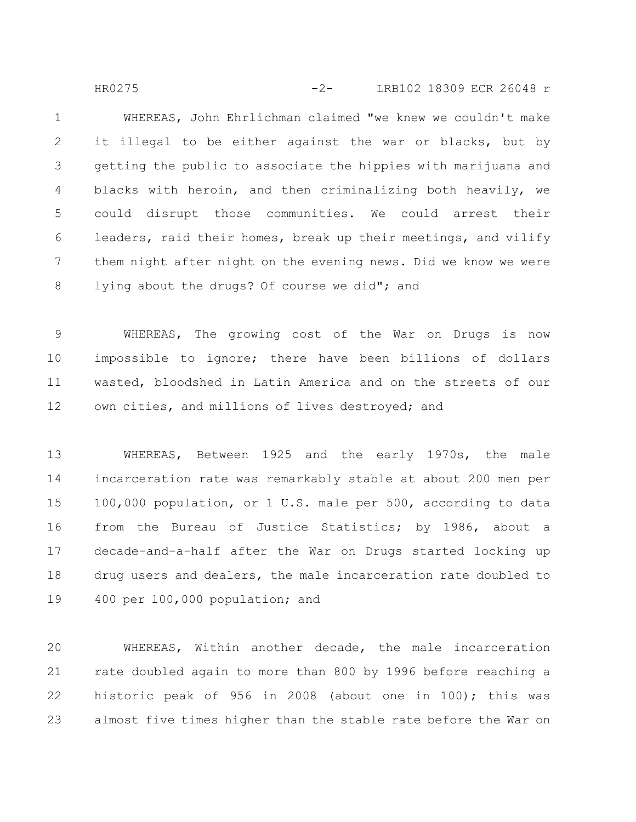WHEREAS, John Ehrlichman claimed "we knew we couldn't make it illegal to be either against the war or blacks, but by getting the public to associate the hippies with marijuana and blacks with heroin, and then criminalizing both heavily, we could disrupt those communities. We could arrest their leaders, raid their homes, break up their meetings, and vilify them night after night on the evening news. Did we know we were lying about the drugs? Of course we did"; and 1 2 3 4 5 6 7 8 HR0275 -2- LRB102 18309 ECR 26048 r

WHEREAS, The growing cost of the War on Drugs is now impossible to ignore; there have been billions of dollars wasted, bloodshed in Latin America and on the streets of our own cities, and millions of lives destroyed; and 9 10 11 12

WHEREAS, Between 1925 and the early 1970s, the male incarceration rate was remarkably stable at about 200 men per 100,000 population, or 1 U.S. male per 500, according to data from the Bureau of Justice Statistics; by 1986, about a decade-and-a-half after the War on Drugs started locking up drug users and dealers, the male incarceration rate doubled to 400 per 100,000 population; and 13 14 15 16 17 18 19

WHEREAS, Within another decade, the male incarceration rate doubled again to more than 800 by 1996 before reaching a historic peak of 956 in 2008 (about one in 100); this was almost five times higher than the stable rate before the War on 20 21 22 23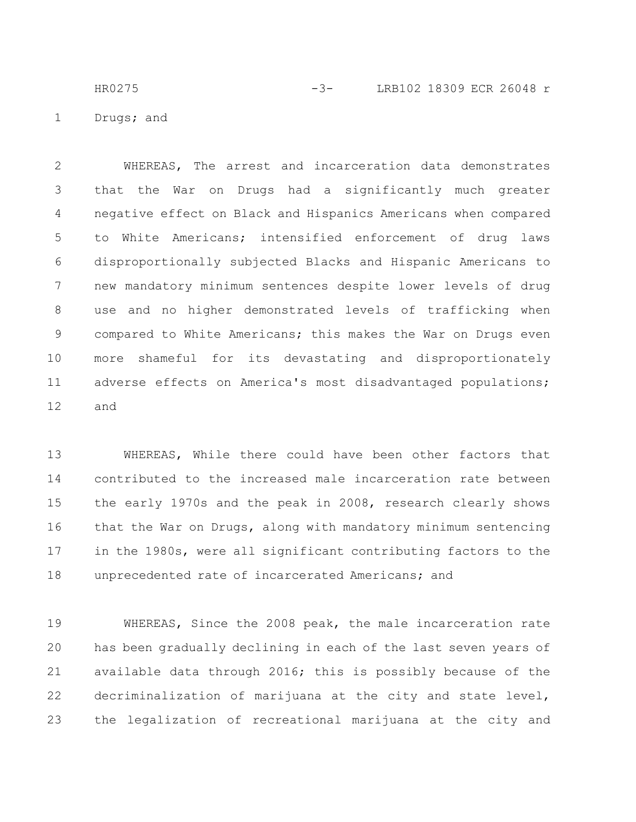Drugs; and HR0275 -3- LRB102 18309 ECR 26048 r

1

WHEREAS, The arrest and incarceration data demonstrates that the War on Drugs had a significantly much greater negative effect on Black and Hispanics Americans when compared to White Americans; intensified enforcement of drug laws disproportionally subjected Blacks and Hispanic Americans to new mandatory minimum sentences despite lower levels of drug use and no higher demonstrated levels of trafficking when compared to White Americans; this makes the War on Drugs even more shameful for its devastating and disproportionately adverse effects on America's most disadvantaged populations; and 2 3 4 5 6 7 8 9 10 11 12

WHEREAS, While there could have been other factors that contributed to the increased male incarceration rate between the early 1970s and the peak in 2008, research clearly shows that the War on Drugs, along with mandatory minimum sentencing in the 1980s, were all significant contributing factors to the unprecedented rate of incarcerated Americans; and 13 14 15 16 17 18

WHEREAS, Since the 2008 peak, the male incarceration rate has been gradually declining in each of the last seven years of available data through 2016; this is possibly because of the decriminalization of marijuana at the city and state level, the legalization of recreational marijuana at the city and 19 20 21 22 23